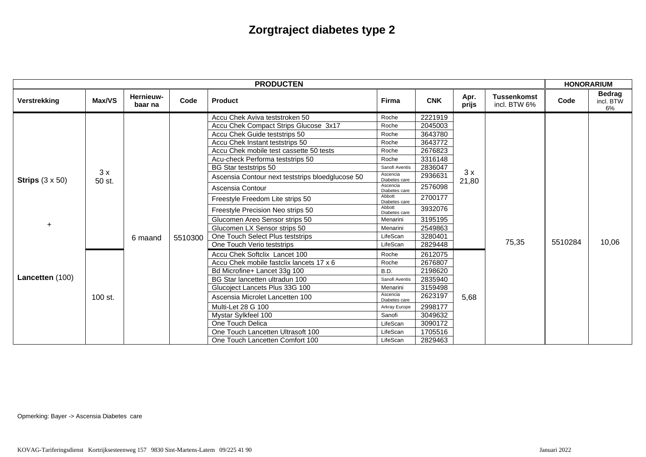| <b>PRODUCTEN</b>                                       |              |                      |         |                                                  |                           |            | <b>HONORARIUM</b>   |                                    |         |                                  |
|--------------------------------------------------------|--------------|----------------------|---------|--------------------------------------------------|---------------------------|------------|---------------------|------------------------------------|---------|----------------------------------|
| Verstrekking                                           | Max/VS       | Hernieuw-<br>baar na | Code    | <b>Product</b>                                   | Firma                     | <b>CNK</b> | Apr.<br>prijs       | <b>Tussenkomst</b><br>incl. BTW 6% | Code    | <b>Bedrag</b><br>incl. BTW<br>6% |
| Strips $(3 \times 50)$<br>$\ddot{}$<br>Lancetten (100) | 3x<br>50 st. | 6 maand              | 5510300 | Accu Chek Aviva teststroken 50                   | Roche                     | 2221919    | 3x<br>21,80<br>5,68 | 75,35                              | 5510284 | 10,06                            |
|                                                        |              |                      |         | Accu Chek Compact Strips Glucose 3x17            | Roche                     | 2045003    |                     |                                    |         |                                  |
|                                                        |              |                      |         | Accu Chek Guide teststrips 50                    | Roche                     | 3643780    |                     |                                    |         |                                  |
|                                                        |              |                      |         | Accu Chek Instant teststrips 50                  | Roche                     | 3643772    |                     |                                    |         |                                  |
|                                                        |              |                      |         | Accu Chek mobile test cassette 50 tests          | Roche                     | 2676823    |                     |                                    |         |                                  |
|                                                        |              |                      |         | Acu-check Performa teststrips 50                 | Roche                     | 3316148    |                     |                                    |         |                                  |
|                                                        |              |                      |         | <b>BG Star teststrips 50</b>                     | Sanofi Aventis            | 2836047    |                     |                                    |         |                                  |
|                                                        |              |                      |         | Ascensia Contour next teststrips bloedglucose 50 | Ascencia<br>Diabetes care | 2936631    |                     |                                    |         |                                  |
|                                                        |              |                      |         | Ascensia Contour                                 | Ascencia<br>Diabetes care | 2576098    |                     |                                    |         |                                  |
|                                                        |              |                      |         | Freestyle Freedom Lite strips 50                 | Abbott<br>Diabetes care   | 2700177    |                     |                                    |         |                                  |
|                                                        |              |                      |         | Freestyle Precision Neo strips 50                | Abbott<br>Diabetes care   | 3932076    |                     |                                    |         |                                  |
|                                                        |              |                      |         | Glucomen Areo Sensor strips 50                   | Menarini                  | 3195195    |                     |                                    |         |                                  |
|                                                        |              |                      |         | Glucomen LX Sensor strips 50                     | Menarini                  | 2549863    |                     |                                    |         |                                  |
|                                                        |              |                      |         | One Touch Select Plus teststrips                 | LifeScan                  | 3280401    |                     |                                    |         |                                  |
|                                                        |              |                      |         | One Touch Verio teststrips                       | LifeScan                  | 2829448    |                     |                                    |         |                                  |
|                                                        | 100 st.      |                      |         | Accu Chek Softclix Lancet 100                    | Roche                     | 2612075    |                     |                                    |         |                                  |
|                                                        |              |                      |         | Accu Chek mobile fastclix lancets 17 x 6         | Roche                     | 2676807    |                     |                                    |         |                                  |
|                                                        |              |                      |         | Bd Microfine+ Lancet 33g 100                     | B.D.                      | 2198620    |                     |                                    |         |                                  |
|                                                        |              |                      |         | BG Star lancetten ultradun 100                   | Sanofi Aventis            | 2835940    |                     |                                    |         |                                  |
|                                                        |              |                      |         | Glucoject Lancets Plus 33G 100                   | Menarini                  | 3159498    |                     |                                    |         |                                  |
|                                                        |              |                      |         | Ascensia Microlet Lancetten 100                  | Ascencia<br>Diabetes care | 2623197    |                     |                                    |         |                                  |
|                                                        |              |                      |         | Multi-Let 28 G 100                               | Arkray Europe             | 2998177    |                     |                                    |         |                                  |
|                                                        |              |                      |         | Mystar Sylkfeel 100                              | Sanofi                    | 3049632    |                     |                                    |         |                                  |
|                                                        |              |                      |         | One Touch Delica                                 | LifeScan                  | 3090172    |                     |                                    |         |                                  |
|                                                        |              |                      |         | One Touch Lancetten Ultrasoft 100                | LifeScan                  | 1705516    |                     |                                    |         |                                  |
|                                                        |              |                      |         | One Touch Lancetten Comfort 100                  | LifeScan                  | 2829463    |                     |                                    |         |                                  |

Opmerking: Bayer -> Ascensia Diabetes care